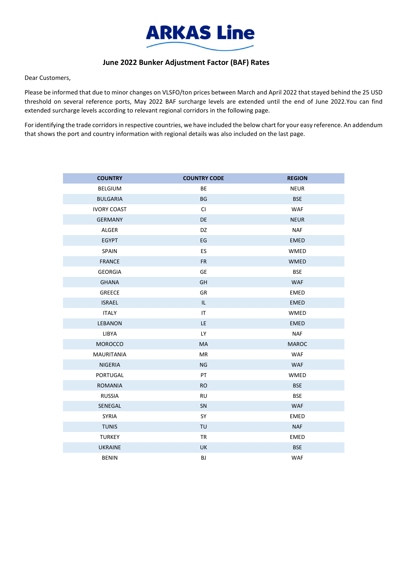

## **June 2022 Bunker Adjustment Factor (BAF) Rates**

Dear Customers,

Please be informed that due to minor changes on VLSFO/ton prices between March and April 2022 that stayed behind the 25 USD threshold on several reference ports, May 2022 BAF surcharge levels are extended until the end of June 2022.You can find extended surcharge levels according to relevant regional corridors in the following page.

For identifying the trade corridors in respective countries, we have included the below chart for your easy reference. An addendum that shows the port and country information with regional details was also included on the last page.

| <b>COUNTRY</b>     | <b>COUNTRY CODE</b>               | <b>REGION</b> |
|--------------------|-----------------------------------|---------------|
| <b>BELGIUM</b>     | BE                                | <b>NEUR</b>   |
| <b>BULGARIA</b>    | <b>BG</b>                         | <b>BSE</b>    |
| <b>IVORY COAST</b> | <b>CI</b>                         | <b>WAF</b>    |
| <b>GERMANY</b>     | DE                                | <b>NEUR</b>   |
| <b>ALGER</b>       | DZ                                | <b>NAF</b>    |
| <b>EGYPT</b>       | EG                                | <b>EMED</b>   |
| <b>SPAIN</b>       | ES                                | <b>WMED</b>   |
| <b>FRANCE</b>      | <b>FR</b>                         | <b>WMED</b>   |
| <b>GEORGIA</b>     | GE                                | <b>BSE</b>    |
| <b>GHANA</b>       | GH                                | <b>WAF</b>    |
| <b>GREECE</b>      | <b>GR</b>                         | <b>EMED</b>   |
| <b>ISRAEL</b>      | $\ensuremath{\mathsf{IL}}\xspace$ | <b>EMED</b>   |
| <b>ITALY</b>       | IT                                | WMED          |
| LEBANON            | LE.                               | <b>EMED</b>   |
| <b>LIBYA</b>       | <b>LY</b>                         | <b>NAF</b>    |
| <b>MOROCCO</b>     | MA                                | <b>MAROC</b>  |
| <b>MAURITANIA</b>  | <b>MR</b>                         | <b>WAF</b>    |
| <b>NIGERIA</b>     | <b>NG</b>                         | <b>WAF</b>    |
| PORTUGAL           | PT                                | WMED          |
| <b>ROMANIA</b>     | <b>RO</b>                         | <b>BSE</b>    |
| <b>RUSSIA</b>      | <b>RU</b>                         | <b>BSE</b>    |
| SENEGAL            | SN                                | <b>WAF</b>    |
| <b>SYRIA</b>       | SY                                | EMED          |
| <b>TUNIS</b>       | TU                                | <b>NAF</b>    |
| <b>TURKEY</b>      | <b>TR</b>                         | EMED          |
| <b>UKRAINE</b>     | <b>UK</b>                         | <b>BSE</b>    |
| <b>BENIN</b>       | BJ                                | <b>WAF</b>    |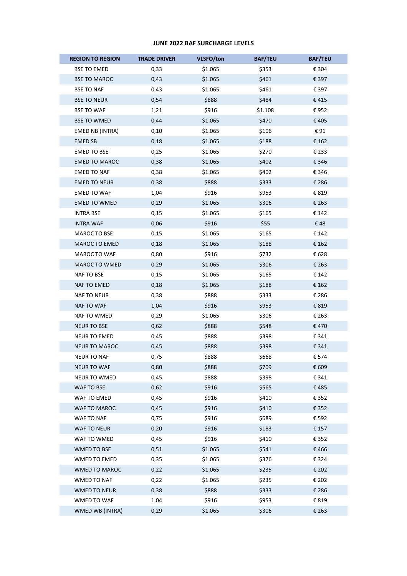## **JUNE 2022 BAF SURCHARGE LEVELS**

| <b>REGION TO REGION</b> | <b>TRADE DRIVER</b> | VLSFO/ton | <b>BAF/TEU</b> | <b>BAF/TEU</b> |
|-------------------------|---------------------|-----------|----------------|----------------|
| <b>BSE TO EMED</b>      | 0,33                | \$1.065   | \$353          | € 304          |
| <b>BSE TO MAROC</b>     | 0,43                | \$1.065   | \$461          | € 397          |
| <b>BSE TO NAF</b>       | 0,43                | \$1.065   | \$461          | € 397          |
| <b>BSE TO NEUR</b>      | 0,54                | \$888     | \$484          | €415           |
| <b>BSE TO WAF</b>       | 1,21                | \$916     | \$1.108        | €952           |
| <b>BSE TO WMED</b>      | 0,44                | \$1.065   | \$470          | €405           |
| EMED NB (INTRA)         | 0,10                | \$1.065   | \$106          | €91            |
| <b>EMED SB</b>          | 0,18                | \$1.065   | \$188          | € 162          |
| <b>EMED TO BSE</b>      | 0,25                | \$1.065   | \$270          | € 233          |
| <b>EMED TO MAROC</b>    | 0,38                | \$1.065   | \$402          | € 346          |
| <b>EMED TO NAF</b>      | 0,38                | \$1.065   | \$402          | € 346          |
| <b>EMED TO NEUR</b>     | 0,38                | \$888     | \$333          | € 286          |
| <b>EMED TO WAF</b>      | 1,04                | \$916     | \$953          | € 819          |
| <b>EMED TO WMED</b>     | 0,29                | \$1.065   | \$306          | € 263          |
| INTRA BSE               | 0,15                | \$1.065   | \$165          | € 142          |
| <b>INTRA WAF</b>        | 0,06                | \$916     | \$55           | €48            |
| MAROC TO BSE            | 0,15                | \$1.065   | \$165          | € 142          |
| MAROC TO EMED           | 0,18                | \$1.065   | \$188          | € 162          |
| MAROC TO WAF            | 0,80                | \$916     | \$732          | € 628          |
| MAROC TO WMED           | 0,29                | \$1.065   | \$306          | € 263          |
| NAF TO BSE              | 0,15                | \$1.065   | \$165          | € 142          |
| NAF TO EMED             | 0,18                | \$1.065   | \$188          | € 162          |
| NAF TO NEUR             | 0,38                | \$888     | \$333          | € 286          |
| NAF TO WAF              | 1,04                | \$916     | \$953          | € 819          |
| NAF TO WMED             | 0,29                | \$1.065   | \$306          | € 263          |
| <b>NEUR TO BSE</b>      | 0,62                | \$888     | \$548          | €470           |
| NEUR TO EMED            | 0,45                | \$888     | \$398          | € 341          |
| <b>NEUR TO MAROC</b>    | 0,45                | \$888     | \$398          | € 341          |
| <b>NEUR TO NAF</b>      | 0,75                | \$888     | \$668          | € 574          |
| <b>NEUR TO WAF</b>      | 0,80                | \$888     | \$709          | € 609          |
| <b>NEUR TO WMED</b>     | 0,45                | \$888     | \$398          | € 341          |
| WAF TO BSE              | 0,62                | \$916     | \$565          | €485           |
| WAF TO EMED             | 0,45                | \$916     | \$410          | € 352          |
| WAF TO MAROC            | 0,45                | \$916     | \$410          | € 352          |
| WAF TO NAF              | 0,75                | \$916     | \$689          | € 592          |
| WAF TO NEUR             | 0,20                | \$916     | \$183          | € 157          |
| WAF TO WMED             | 0,45                | \$916     | \$410          | € 352          |
| WMED TO BSE             | 0,51                | \$1.065   | \$541          | €466           |
| WMED TO EMED            | 0,35                | \$1.065   | \$376          | € 324          |
| WMED TO MAROC           | 0,22                | \$1.065   | \$235          | € 202          |
| WMED TO NAF             | 0,22                | \$1.065   | \$235          | € 202          |
| WMED TO NEUR            | 0,38                | \$888     | \$333          | € 286          |
| WMED TO WAF             | 1,04                | \$916     | \$953          | € 819          |
| WMED WB (INTRA)         | 0,29                | \$1.065   | \$306          | € 263          |